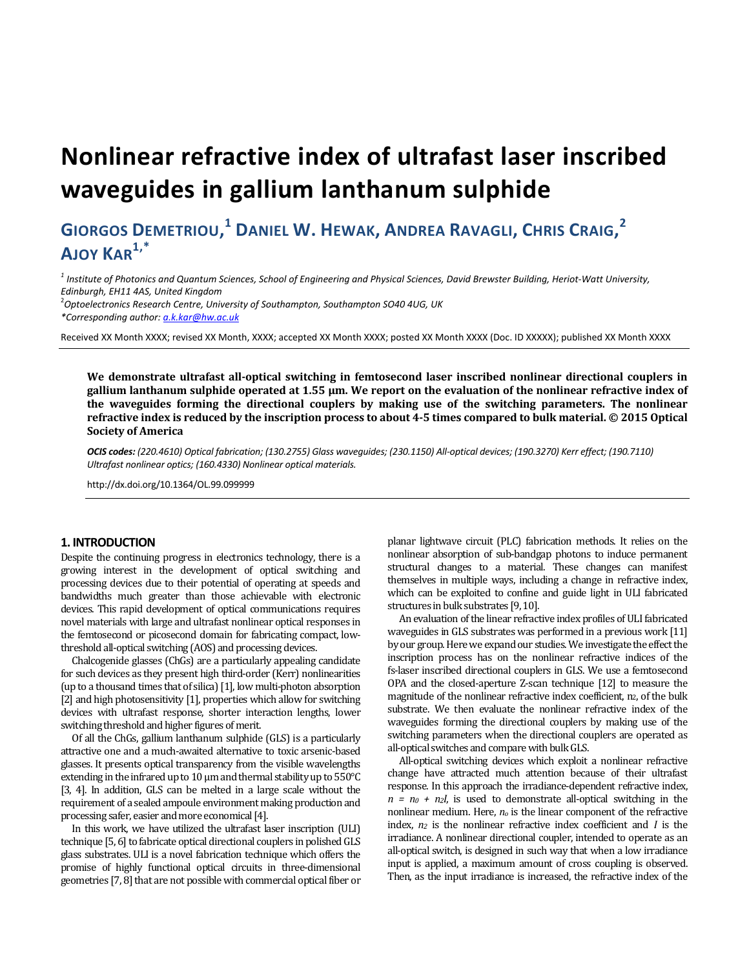# **Nonlinear refractive index of ultrafast laser inscribed waveguides in gallium lanthanum sulphide**

# **GIORGOS DEMETRIOU, <sup>1</sup> DANIEL W. HEWAK, ANDREA RAVAGLI, CHRIS CRAIG, 2 AJOY KAR1,\***

*1 Institute of Photonics and Quantum Sciences, School of Engineering and Physical Sciences, David Brewster Building, Heriot-Watt University, Edinburgh, EH11 4AS, United Kingdom* 

2 *Optoelectronics Research Centre, University of Southampton, Southampton SO40 4UG, UK \*Corresponding author: a.k.kar@hw.ac.uk*

Received XX Month XXXX; revised XX Month, XXXX; accepted XX Month XXXX; posted XX Month XXXX (Doc. ID XXXXX); published XX Month XXXX

**We demonstrate ultrafast all-optical switching in femtosecond laser inscribed nonlinear directional couplers in gallium lanthanum sulphide operated at 1.55 μm. We report on the evaluation of the nonlinear refractive index of the waveguides forming the directional couplers by making use of the switching parameters. The nonlinear refractive index is reduced by the inscription process to about 4-5 times compared to bulk material. © 2015 Optical Society of America** 

*OCIS codes: (220.4610) Optical fabrication; (130.2755) Glass waveguides; (230.1150) All-optical devices; (190.3270) Kerr effect; (190.7110) Ultrafast nonlinear optics; (160.4330) Nonlinear optical materials.* 

http://dx.doi.org/10.1364/OL.99.099999

#### **1. INTRODUCTION**

Despite the continuing progress in electronics technology, there is a growing interest in the development of optical switching and processing devices due to their potential of operating at speeds and bandwidths much greater than those achievable with electronic devices. This rapid development of optical communications requires novel materials with large and ultrafast nonlinear optical responses in the femtosecond or picosecond domain for fabricating compact, lowthreshold all-optical switching (AOS) and processing devices.

Chalcogenide glasses (ChGs) are a particularly appealing candidate for such devices as they present high third-order (Kerr) nonlinearities (up to a thousand times that of silica) [1], low multi-photon absorption [2] and high photosensitivity [1], properties which allow for switching devices with ultrafast response, shorter interaction lengths, lower switching threshold and higher figures of merit.

Of all the ChGs, gallium lanthanum sulphide (GLS) is a particularly attractive one and a much-awaited alternative to toxic arsenic-based glasses. It presents optical transparency from the visible wavelengths extending in the infrared up to 10 μm and thermal stability up to 550°C [3, 4]. In addition, GLS can be melted in a large scale without the requirement of a sealed ampoule environment making production and processing safer, easier and more economical [4].

In this work, we have utilized the ultrafast laser inscription (ULI) technique [5, 6] to fabricate optical directional couplers in polished GLS glass substrates. ULI is a novel fabrication technique which offers the promise of highly functional optical circuits in three-dimensional geometries [7, 8] that are not possible with commercial optical fiber or

planar lightwave circuit (PLC) fabrication methods. It relies on the nonlinear absorption of sub-bandgap photons to induce permanent structural changes to a material. These changes can manifest themselves in multiple ways, including a change in refractive index, which can be exploited to confine and guide light in ULI fabricated structures in bulk substrates [9, 10].

An evaluation of the linear refractive index profiles of ULI fabricated waveguides in GLS substrates was performed in a previous work [11] by our group. Here we expand our studies. We investigate the effect the inscription process has on the nonlinear refractive indices of the fs-laser inscribed directional couplers in GLS. We use a femtosecond OPA and the closed-aperture Z-scan technique [12] to measure the magnitude of the nonlinear refractive index coefficient, n2, of the bulk substrate. We then evaluate the nonlinear refractive index of the waveguides forming the directional couplers by making use of the switching parameters when the directional couplers are operated as all-optical switches and compare with bulk GLS.

All-optical switching devices which exploit a nonlinear refractive change have attracted much attention because of their ultrafast response. In this approach the irradiance-dependent refractive index,  $n = n_0 + n_2 I$ , is used to demonstrate all-optical switching in the nonlinear medium. Here, *no* is the linear component of the refractive index, *n2* is the nonlinear refractive index coefficient and *I* is the irradiance. A nonlinear directional coupler, intended to operate as an all-optical switch, is designed in such way that when a low irradiance input is applied, a maximum amount of cross coupling is observed. Then, as the input irradiance is increased, the refractive index of the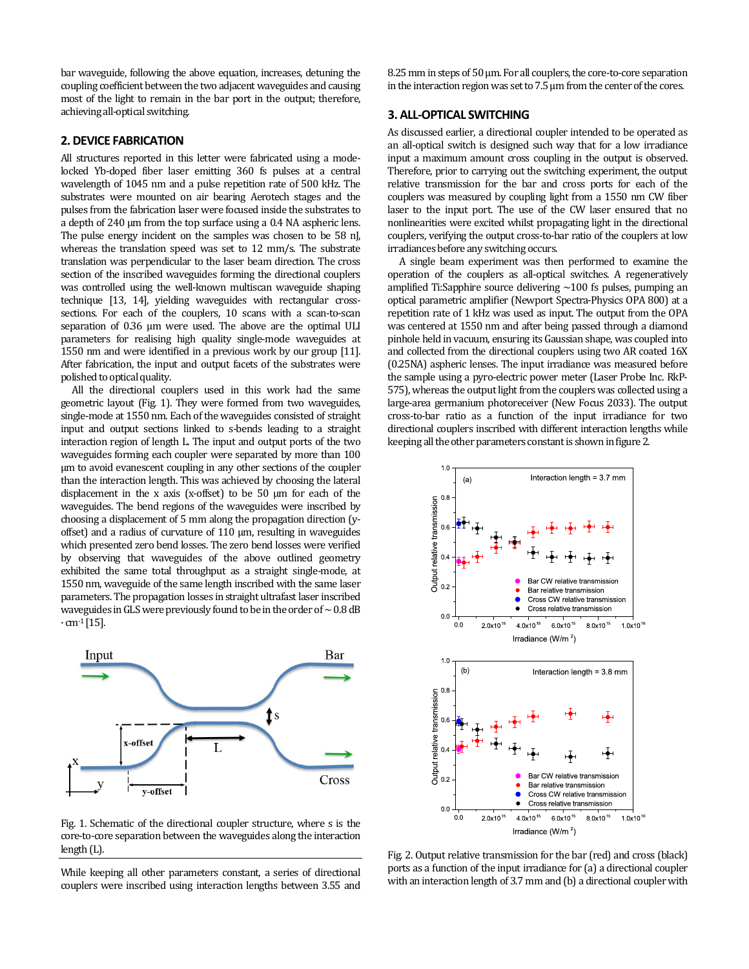bar waveguide, following the above equation, increases, detuning the coupling coefficient between the two adjacent waveguides and causing most of the light to remain in the bar port in the output; therefore, achieving all-optical switching.

## **2. DEVICE FABRICATION**

All structures reported in this letter were fabricated using a modelocked Yb-doped fiber laser emitting 360 fs pulses at a central wavelength of 1045 nm and a pulse repetition rate of 500 kHz. The substrates were mounted on air bearing Aerotech stages and the pulses from the fabrication laser were focused inside the substrates to a depth of 240 μm from the top surface using a 0.4 NA aspheric lens. The pulse energy incident on the samples was chosen to be 58 nJ, whereas the translation speed was set to 12 mm/s. The substrate translation was perpendicular to the laser beam direction. The cross section of the inscribed waveguides forming the directional couplers was controlled using the well-known multiscan waveguide shaping technique [13, 14], yielding waveguides with rectangular crosssections. For each of the couplers, 10 scans with a scan-to-scan separation of 0.36 μm were used. The above are the optimal ULI parameters for realising high quality single-mode waveguides at 1550 nm and were identified in a previous work by our group [11]. After fabrication, the input and output facets of the substrates were polished to optical quality.

All the directional couplers used in this work had the same geometric layout (Fig. 1). They were formed from two waveguides, single-mode at 1550 nm. Each of the waveguides consisted of straight input and output sections linked to s-bends leading to a straight interaction region of length L. The input and output ports of the two waveguides forming each coupler were separated by more than 100 μm to avoid evanescent coupling in any other sections of the coupler than the interaction length. This was achieved by choosing the lateral displacement in the x axis (x-offset) to be 50 μm for each of the waveguides. The bend regions of the waveguides were inscribed by choosing a displacement of 5 mm along the propagation direction (yoffset) and a radius of curvature of 110 μm, resulting in waveguides which presented zero bend losses. The zero bend losses were verified by observing that waveguides of the above outlined geometry exhibited the same total throughput as a straight single-mode, at 1550 nm, waveguide of the same length inscribed with the same laser parameters. The propagation losses in straight ultrafast laser inscribed waveguides in GLS were previously found to be in the order of  $\sim 0.8$  dB  $\cdot$  cm<sup>-1</sup> [15].



Fig. 1. Schematic of the directional coupler structure, where s is the core-to-core separation between the waveguides along the interaction length (L).

While keeping all other parameters constant, a series of directional couplers were inscribed using interaction lengths between 3.55 and 8.25 mm in steps of 50 μm. For all couplers, the core-to-core separation in the interaction region was set to 7.5 μm from the center of the cores.

#### **3. ALL-OPTICAL SWITCHING**

As discussed earlier, a directional coupler intended to be operated as an all-optical switch is designed such way that for a low irradiance input a maximum amount cross coupling in the output is observed. Therefore, prior to carrying out the switching experiment, the output relative transmission for the bar and cross ports for each of the couplers was measured by coupling light from a 1550 nm CW fiber laser to the input port. The use of the CW laser ensured that no nonlinearities were excited whilst propagating light in the directional couplers, verifying the output cross-to-bar ratio of the couplers at low irradiances before any switching occurs.

A single beam experiment was then performed to examine the operation of the couplers as all-optical switches. A regeneratively amplified Ti:Sapphire source delivering  $\sim$ 100 fs pulses, pumping an optical parametric amplifier (Newport Spectra-Physics OPA 800) at a repetition rate of 1 kHz was used as input. The output from the OPA was centered at 1550 nm and after being passed through a diamond pinhole held in vacuum, ensuring its Gaussian shape, was coupled into and collected from the directional couplers using two AR coated 16X (0.25NA) aspheric lenses. The input irradiance was measured before the sample using a pyro-electric power meter (Laser Probe Inc. RkP-575), whereas the output light from the couplers was collected using a large-area germanium photoreceiver (New Focus 2033). The output cross-to-bar ratio as a function of the input irradiance for two directional couplers inscribed with different interaction lengths while keeping all the other parameters constant is shown in figure 2.



Fig. 2. Output relative transmission for the bar (red) and cross (black) ports as a function of the input irradiance for (a) a directional coupler with an interaction length of 3.7 mm and (b) a directional coupler with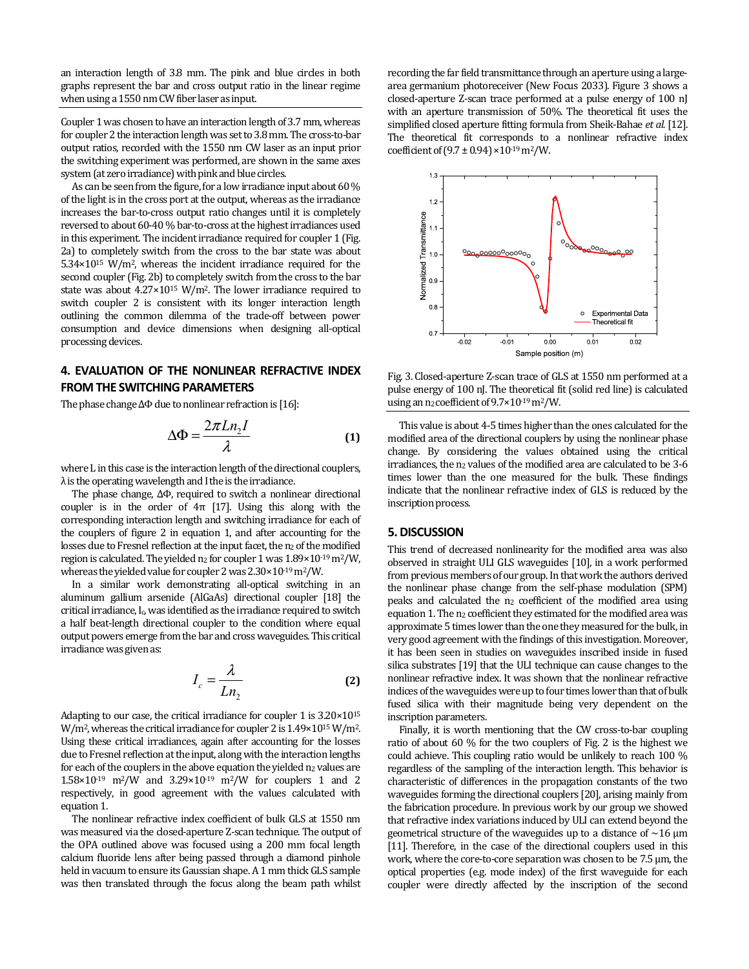an interaction length of 3.8 mm. The pink and blue circles in both graphs represent the bar and cross output ratio in the linear regime when using a 1550 nm CW fiber laser as input.

Coupler 1 was chosen to have an interaction length of 3.7 mm, whereas for coupler 2 the interaction length was set to 3.8 mm. The cross-to-bar output ratios, recorded with the 1550 nm CW laser as an input prior the switching experiment was performed, are shown in the same axes system (at zero irradiance) with pink and blue circles.

As can be seen from the figure, for a low irradiance input about 60 % of the light is in the cross port at the output, whereas as the irradiance increases the bar-to-cross output ratio changes until it is completely reversed to about 60-40 % bar-to-cross at the highest irradiances used in this experiment. The incident irradiance required for coupler 1 (Fig. 2a) to completely switch from the cross to the bar state was about 5.34×1015 W/m2, whereas the incident irradiance required for the second coupler (Fig. 2b) to completely switch from the cross to the bar state was about  $4.27 \times 10^{15}$  W/m<sup>2</sup>. The lower irradiance required to switch coupler 2 is consistent with its longer interaction length outlining the common dilemma of the trade-off between power consumption and device dimensions when designing all-optical processing devices.

## **4. EVALUATION OF THE NONLINEAR REFRACTIVE INDEX FROM THE SWITCHING PARAMETERS**

The phase change ΔΦ due to nonlinear refraction is [16]:

$$
\Delta \Phi = \frac{2\pi L n_2 I}{\lambda} \tag{1}
$$

where L in this case is the interaction length of the directional couplers,  $\lambda$  is the operating wavelength and I the is the irradiance.

The phase change, ΔΦ, required to switch a nonlinear directional coupler is in the order of  $4\pi$  [17]. Using this along with the corresponding interaction length and switching irradiance for each of the couplers of figure 2 in equation 1, and after accounting for the losses due to Fresnel reflection at the input facet, the n<sub>2</sub> of the modified region is calculated. The yielded n2 for coupler 1 was 1.89×10-19 m2/W, whereas the yielded value for coupler 2 was 2.30×10-19 m2/W.

In a similar work demonstrating all-optical switching in an aluminum gallium arsenide (AlGaAs) directional coupler [18] the critical irradiance, Ic, was identified as the irradiance required to switch a half beat-length directional coupler to the condition where equal output powers emerge from the bar and cross waveguides. This critical irradiance was given as:

$$
I_c = \frac{\lambda}{Ln_2}
$$
 (2)

Adapting to our case, the critical irradiance for coupler 1 is 3.20×1015 W/m<sup>2</sup>, whereas the critical irradiance for coupler 2 is  $1.49 \times 10^{15}$  W/m<sup>2</sup>. Using these critical irradiances, again after accounting for the losses due to Fresnel reflection at the input, along with the interaction lengths for each of the couplers in the above equation the yielded  $n_2$  values are 1.58×10-19 m2/W and 3.29×10-19 m2/W for couplers 1 and 2 respectively, in good agreement with the values calculated with equation 1.

The nonlinear refractive index coefficient of bulk GLS at 1550 nm was measured via the closed-aperture Z-scan technique. The output of the OPA outlined above was focused using a 200 mm focal length calcium fluoride lens after being passed through a diamond pinhole held in vacuum to ensure its Gaussian shape. A 1 mm thick GLS sample was then translated through the focus along the beam path whilst

recording the far field transmittance through an aperture using a largearea germanium photoreceiver (New Focus 2033). Figure 3 shows a closed-aperture Z-scan trace performed at a pulse energy of 100 nJ with an aperture transmission of 50%. The theoretical fit uses the simplified closed aperture fitting formula from Sheik-Bahae *et al.* [12]. The theoretical fit corresponds to a nonlinear refractive index coefficient of  $(9.7 \pm 0.94) \times 10^{-19}$  m<sup>2</sup>/W.



Fig. 3. Closed-aperture Z-scan trace of GLS at 1550 nm performed at a pulse energy of 100 nJ. The theoretical fit (solid red line) is calculated using an  $n_2$  coefficient of  $9.7 \times 10^{-19}$  m<sup>2</sup>/W.

This value is about 4-5 times higher than the ones calculated for the modified area of the directional couplers by using the nonlinear phase change. By considering the values obtained using the critical irradiances, the n<sub>2</sub> values of the modified area are calculated to be 3-6 times lower than the one measured for the bulk. These findings indicate that the nonlinear refractive index of GLS is reduced by the inscription process.

#### **5. DISCUSSION**

This trend of decreased nonlinearity for the modified area was also observed in straight ULI GLS waveguides [10], in a work performed from previous members of our group. In that work the authors derived the nonlinear phase change from the self-phase modulation (SPM) peaks and calculated the n2 coefficient of the modified area using equation 1. The n<sub>2</sub> coefficient they estimated for the modified area was approximate 5 times lower than the one they measured for the bulk, in very good agreement with the findings of this investigation. Moreover, it has been seen in studies on waveguides inscribed inside in fused silica substrates [19] that the ULI technique can cause changes to the nonlinear refractive index. It was shown that the nonlinear refractive indices of the waveguides were up to four times lower than that of bulk fused silica with their magnitude being very dependent on the inscription parameters.

Finally, it is worth mentioning that the CW cross-to-bar coupling ratio of about 60 % for the two couplers of Fig. 2 is the highest we could achieve. This coupling ratio would be unlikely to reach 100 % regardless of the sampling of the interaction length. This behavior is characteristic of differences in the propagation constants of the two waveguides forming the directional couplers [20], arising mainly from the fabrication procedure. In previous work by our group we showed that refractive index variations induced by ULI can extend beyond the geometrical structure of the waveguides up to a distance of  $\sim$ 16  $\mu$ m [11]. Therefore, in the case of the directional couplers used in this work, where the core-to-core separation was chosen to be 7.5 μm, the optical properties (e.g. mode index) of the first waveguide for each coupler were directly affected by the inscription of the second